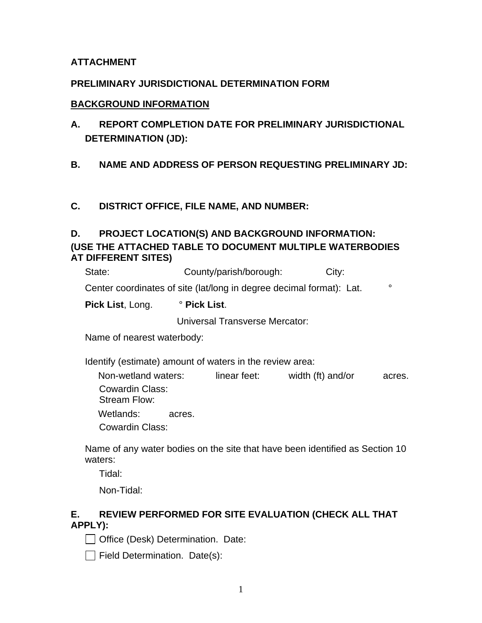## **ATTACHMENT**

### **PRELIMINARY JURISDICTIONAL DETERMINATION FORM**

#### **BACKGROUND INFORMATION**

**A. REPORT COMPLETION DATE FOR PRELIMINARY JURISDICTIONAL DETERMINATION (JD):** 

### **B. NAME AND ADDRESS OF PERSON REQUESTING PRELIMINARY JD:**

### **C. DISTRICT OFFICE, FILE NAME, AND NUMBER:**

## **D. PROJECT LOCATION(S) AND BACKGROUND INFORMATION: (USE THE ATTACHED TABLE TO DOCUMENT MULTIPLE WATERBODIES AT DIFFERENT SITES)**

| State:                                                                          | County/parish/borough: | City: |  |  |  |  |  |
|---------------------------------------------------------------------------------|------------------------|-------|--|--|--|--|--|
| Center coordinates of site (lat/long in degree decimal format): Lat.<br>$\circ$ |                        |       |  |  |  |  |  |
| <b>Pick List, Long.</b>                                                         | ° Pick List.           |       |  |  |  |  |  |

Universal Transverse Mercator:

Name of nearest waterbody:

Identify (estimate) amount of waters in the review area:

Non-wetland waters: linear feet: width (ft) and/or acres. Cowardin Class: Stream Flow: Wetlands: acres.

Cowardin Class:

Name of any water bodies on the site that have been identified as Section 10 waters:

Tidal:

Non-Tidal:

## **E. REVIEW PERFORMED FOR SITE EVALUATION (CHECK ALL THAT APPLY):**

Office (Desk) Determination. Date:

 $\Box$  Field Determination. Date(s):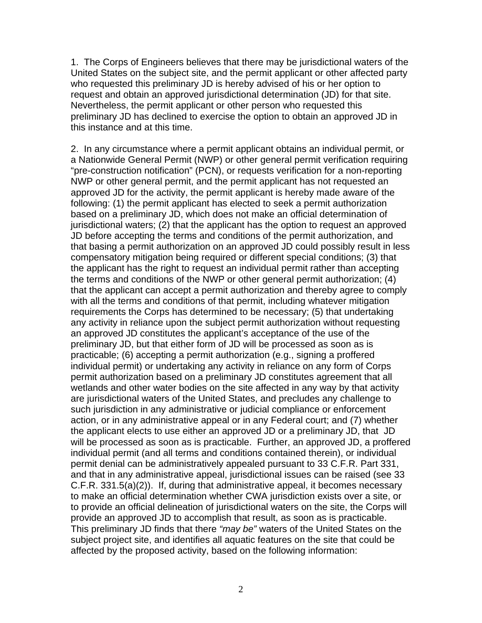1. The Corps of Engineers believes that there may be jurisdictional waters of the United States on the subject site, and the permit applicant or other affected party who requested this preliminary JD is hereby advised of his or her option to request and obtain an approved jurisdictional determination (JD) for that site. Nevertheless, the permit applicant or other person who requested this preliminary JD has declined to exercise the option to obtain an approved JD in this instance and at this time.

2. In any circumstance where a permit applicant obtains an individual permit, or a Nationwide General Permit (NWP) or other general permit verification requiring "pre-construction notification" (PCN), or requests verification for a non-reporting NWP or other general permit, and the permit applicant has not requested an approved JD for the activity, the permit applicant is hereby made aware of the following: (1) the permit applicant has elected to seek a permit authorization based on a preliminary JD, which does not make an official determination of jurisdictional waters; (2) that the applicant has the option to request an approved JD before accepting the terms and conditions of the permit authorization, and that basing a permit authorization on an approved JD could possibly result in less compensatory mitigation being required or different special conditions; (3) that the applicant has the right to request an individual permit rather than accepting the terms and conditions of the NWP or other general permit authorization; (4) that the applicant can accept a permit authorization and thereby agree to comply with all the terms and conditions of that permit, including whatever mitigation requirements the Corps has determined to be necessary; (5) that undertaking any activity in reliance upon the subject permit authorization without requesting an approved JD constitutes the applicant's acceptance of the use of the preliminary JD, but that either form of JD will be processed as soon as is practicable; (6) accepting a permit authorization (e.g., signing a proffered individual permit) or undertaking any activity in reliance on any form of Corps permit authorization based on a preliminary JD constitutes agreement that all wetlands and other water bodies on the site affected in any way by that activity are jurisdictional waters of the United States, and precludes any challenge to such jurisdiction in any administrative or judicial compliance or enforcement action, or in any administrative appeal or in any Federal court; and (7) whether the applicant elects to use either an approved JD or a preliminary JD, that JD will be processed as soon as is practicable. Further, an approved JD, a proffered individual permit (and all terms and conditions contained therein), or individual permit denial can be administratively appealed pursuant to 33 C.F.R. Part 331, and that in any administrative appeal, jurisdictional issues can be raised (see 33 C.F.R. 331.5(a)(2)). If, during that administrative appeal, it becomes necessary to make an official determination whether CWA jurisdiction exists over a site, or to provide an official delineation of jurisdictional waters on the site, the Corps will provide an approved JD to accomplish that result, as soon as is practicable. This preliminary JD finds that there *"may be"* waters of the United States on the subject project site, and identifies all aquatic features on the site that could be affected by the proposed activity, based on the following information: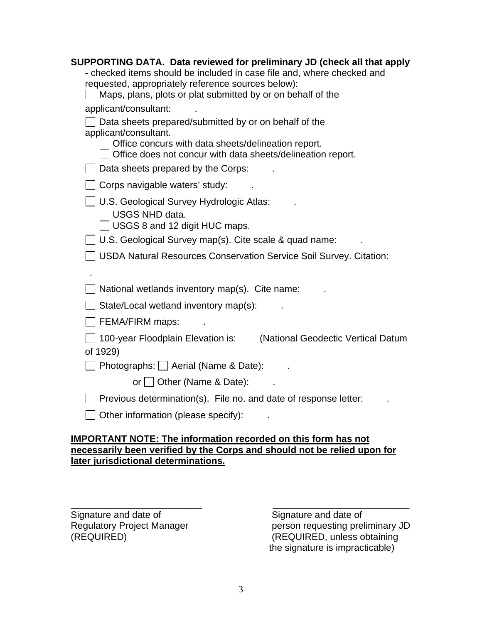| SUPPORTING DATA. Data reviewed for preliminary JD (check all that apply        |  |  |  |  |  |  |
|--------------------------------------------------------------------------------|--|--|--|--|--|--|
| - checked items should be included in case file and, where checked and         |  |  |  |  |  |  |
| requested, appropriately reference sources below):                             |  |  |  |  |  |  |
| Maps, plans, plots or plat submitted by or on behalf of the                    |  |  |  |  |  |  |
| applicant/consultant:                                                          |  |  |  |  |  |  |
| Data sheets prepared/submitted by or on behalf of the<br>applicant/consultant. |  |  |  |  |  |  |
| Office concurs with data sheets/delineation report.                            |  |  |  |  |  |  |
| Office does not concur with data sheets/delineation report.                    |  |  |  |  |  |  |
| Data sheets prepared by the Corps:                                             |  |  |  |  |  |  |
| Corps navigable waters' study:                                                 |  |  |  |  |  |  |
| U.S. Geological Survey Hydrologic Atlas:                                       |  |  |  |  |  |  |
| <b>USGS NHD data.</b>                                                          |  |  |  |  |  |  |
| USGS 8 and 12 digit HUC maps.                                                  |  |  |  |  |  |  |
| U.S. Geological Survey map(s). Cite scale & quad name:                         |  |  |  |  |  |  |
| <b>USDA Natural Resources Conservation Service Soil Survey. Citation:</b>      |  |  |  |  |  |  |
|                                                                                |  |  |  |  |  |  |
| National wetlands inventory map(s). Cite name:                                 |  |  |  |  |  |  |
| State/Local wetland inventory map(s):                                          |  |  |  |  |  |  |
| FEMA/FIRM maps:                                                                |  |  |  |  |  |  |
| 100-year Floodplain Elevation is:<br>(National Geodectic Vertical Datum        |  |  |  |  |  |  |
| of 1929)                                                                       |  |  |  |  |  |  |
| Photographs:   Aerial (Name & Date):                                           |  |  |  |  |  |  |
| or Other (Name & Date):                                                        |  |  |  |  |  |  |
| Previous determination(s). File no. and date of response letter:               |  |  |  |  |  |  |
|                                                                                |  |  |  |  |  |  |
| Other information (please specify):                                            |  |  |  |  |  |  |
|                                                                                |  |  |  |  |  |  |

## **IMPORTANT NOTE: The information recorded on this form has not necessarily been verified by the Corps and should not be relied upon for later jurisdictional determinations.**

\_\_\_\_\_\_\_\_\_\_\_\_\_\_\_\_\_\_\_\_\_\_\_\_\_ \_\_\_\_\_\_\_\_\_\_\_\_\_\_\_\_\_\_\_\_\_\_\_\_\_\_ Signature and date of<br>
Regulatory Project Manager<br>
Signature and date of<br>
person requesting prel

Regulatory Project Manager person requesting preliminary JD<br>(REQUIRED) (REQUIRED, unless obtaining (REQUIRED) (REQUIRED, unless obtaining the signature is impracticable)